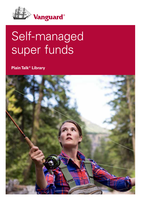

# Self-managed super funds

**Plain Talk® Library**

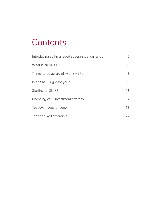## **Contents**

| Introducing self-managed superannuation funds | 5  |
|-----------------------------------------------|----|
| What is an SMSF?                              | 6  |
| Things to be aware of with SMSFs              | 8  |
| Is an SMSF right for you?                     | 10 |
| Starting an SMSF                              | 13 |
| Choosing your investment strategy             | 14 |
| Tax advantages of super                       | 18 |
| The Vanguard difference                       | 22 |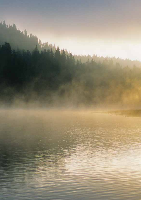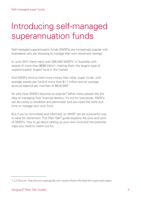## Introducing self-managed superannuation funds

Self-managed superannuation funds (SMSFs) are increasingly popular with Australians who are choosing to manage their own retirement savings.

In June 2017, there were over 595,000 SMSFs<sup>1</sup> in Australia with assets of more than \$696 billion<sup>2</sup>, making them the largest type of superannuation (super) fund in the market.

And SMSFs tend to hold more money than other super funds, with average assets per fund of more than \$1.1 million and an average account balance per member of \$616,000<sup>3</sup>.

So why have SMSFs become so popular? While many people like the idea of managing their financial destiny, it's not for everybody. SMSFs can be costly to establish and administer and you need the skills and time to manage your own fund.

But if you're committed and informed, an SMSF can be a powerful way to save for retirement. This Plain Talk® guide explains the pros and cons of SMSFs, how to go about setting up your own fund and the potential traps you need to watch out for.

<sup>1,2,3</sup> Source: http://www.superguide.com.au/smsfs/smsfs-lead-the-super-pack-again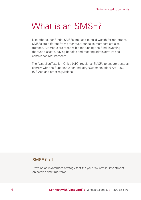## What is an SMSF?

Like other super funds, SMSFs are used to build wealth for retirement. SMSFs are different from other super funds as members are also trustees. Members are responsible for running the fund, investing the fund's assets, paying benefits and meeting administrative and compliance requirements.

The Australian Taxation Office (ATO) regulates SMSFs to ensure trustees comply with the Superannuation Industry (Superannuation) Act 1993 (SIS Act) and other regulations.

## SMSF tip 1

Develop an investment strategy that fits your risk profile, investment objectives and timeframe.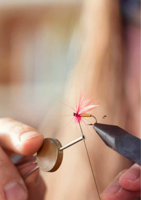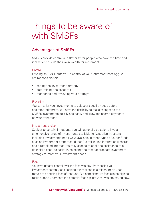## Things to be aware of with SMSFs

## Advantages of SMSFs

SMSFs provide control and flexibility for people who have the time and inclination to build their own wealth for retirement.

#### **Control**

Owning an SMSF puts you in control of your retirement nest egg. You are responsible for:

- setting the investment strategy
- determining the asset mix
- monitoring and reviewing your strategy.

#### **Flexibility**

You can tailor your investments to suit your specific needs before and after retirement. You have the flexibility to make changes to the SMSFs investments quickly and easily and allow for income payments on your retirement.

#### Investment choice

Subject to certain limitations, you will generally be able to invest in an extensive range of investments available to Australian investors including investments not always available in other types of super funds, such as investment properties, direct Australian and international shares and direct fixed interest. You may choose to seek the assistance of a financial adviser to assist in selecting the most appropriate investment strategy to meet your investment needs.

#### Fees

You have greater control over the fees you pay. By choosing your investments carefully and keeping transactions to a minimum, you can reduce the ongoing fees of the fund. But administrative fees can be high so make sure you compare the potential fees against what you are paying now.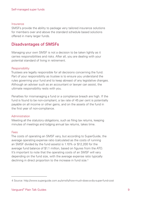#### Insurance

SMSFs provide the ability to package very tailored insurance solutions for members over and above the standard schedule based solutions offered in many larger funds.

### Disadvantages of SMSFs

Managing your own SMSF is not a decision to be taken lightly as it carries responsibilities and risks. After all, you are dealing with your potential standard of living in retirement.

#### **Responsibility**

Trustees are legally responsible for all decisions concerning the fund. Part of your responsibility as trustee is to ensure you understand the rules governing your fund and to keep abreast of any legislative changes. Although an adviser such as an accountant or lawyer can assist, the ultimate responsibility rests with you.

Penalties for mismanaging a fund or a compliance breach are high. If the fund is found to be non-compliant, a tax rate of 45 per cent is potentially payable on all income or other gains, and on the assets of the fund in the first year of non-compliance.

#### Administration

Meeting all the statutory obligations, such as filing tax returns, keeping minutes of meetings and lodging annual tax returns, takes time.

#### Fees

The costs of operating an SMSF vary, but according to SuperGuide, the average operating expense ratio (calculated as the costs of running an SMSF divided by the fund assets) is 1.10% or \$12,200 for the average fund balance of \$1.1 million, based on figures from the ATO. It's important to note that the operating costs of an SMSF will vary depending on the fund size, with the average expense ratio typically declining in direct proportion to the increase in fund size.<sup>4</sup>

<sup>4</sup> Source: http://www.superguide.com.au/smsfs/how-much-does-a-diy-super-fund-cost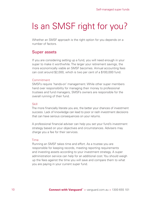## Is an SMSF right for you?

Whether an SMSF approach is the right option for you depends on a number of factors.

## Super assets

If you are considering setting up a fund, you will need enough in your super to make it worthwhile. The larger your retirement savings, the more economically viable an SMSF becomes. Annual accounting fees can cost around \$2,000, which is two per cent of a \$100,000 fund.

#### **Commitment**

SMSFs require 'hands-on' management. While other super members hand over responsibility for managing their money to professional trustees and fund managers, SMSFs owners are responsible for the overall running of their fund.

#### Skill

The more financially literate you are, the better your chances of investment success. Lack of knowledge can lead to poor or rash investment decisions that can have serious consequences on your returns.

A professional financial adviser can help you set your fund's investment strategy based on your objectives and circumstances. Advisers may charge you a fee for their services.

#### Time

Running an SMSF takes time and effort. As a trustee you are responsible for keeping records, meeting reporting requirements and investing assets according to your investment strategy. A super administration service can help for an additional cost. You should weigh up the fees against the time you will save and compare them to what you are paying in your current super fund.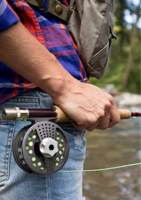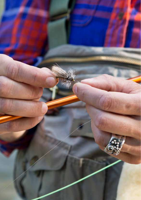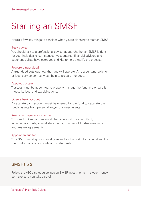## Starting an SMSF

Here's a few key things to consider when you're planning to start an SMSF.

#### Seek advice

You should talk to a professional adviser about whether an SMSF is right for your individual circumstances. Accountants, financial advisers and super specialists have packages and kits to help simplify the process.

#### Prepare a trust deed

A trust deed sets out how the fund will operate. An accountant, solicitor or legal service company can help to prepare the deed.

#### Appoint trustees

Trustees must be appointed to properly manage the fund and ensure it meets its legal and tax obligations.

#### Open a bank account

A separate bank account must be opened for the fund to separate the fund's assets from personal and/or business assets.

#### Keep your paperwork in order

You need to keep and retain all the paperwork for your SMSF, including accounts, annual statements, minutes of trustee meetings and trustee agreements.

#### Appoint an auditor

Your SMSF must appoint an eligible auditor to conduct an annual audit of the fund's financial accounts and statements.

### SMSF tip 2

Follow the ATO's strict guidelines on SMSF investments—it's your money, so make sure you take care of it.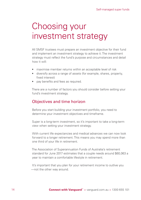## Choosing your investment strategy

All SMSF trustees must prepare an investment objective for their fund and implement an investment strategy to achieve it. The investment strategy must reflect the fund's purpose and circumstances and detail how it will:

- maximise member returns within an acceptable level of risk
- diversify across a range of assets (for example, shares, property, fixed interest)
- pay benefits and fees as required.

There are a number of factors you should consider before setting your fund's investment strategy.

## Objectives and time horizon

Before you start building your investment portfolio, you need to determine your investment objectives and timeframe.

Super is a long-term investment, so it's important to take a long-term view when setting your investment strategy.

With current life expectancies and medical advances we can now look forward to a longer retirement. This means you may spend more than one third of your life in retirement.

The Association of Superannuation Funds of Australia's retirement standard for June 2017 estimates that a couple needs around \$60,063 a year to maintain a comfortable lifestyle in retirement.

It's important that you plan for your retirement income to outlive you —not the other way around.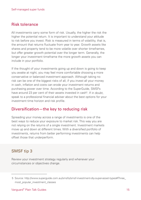## Risk tolerance

All investments carry some form of risk. Usually, the higher the risk the higher the potential return. It is important to understand your attitude to risk before you invest. Risk is measured in terms of volatility, that is, the amount that returns fluctuate from year to year. Growth assets like shares and property tend to be more volatile over shorter timeframes, but offer greater growth potential over the longer term. Generally, the longer your investment timeframe the more growth assets you can include in your portfolio.

If the thought of your investments going up and down is going to keep you awake at night, you may feel more comfortable choosing a more conservative or balanced investment approach. Although taking no risk can be one of the biggest risks of all, if you invest all your money in cash, inflation and costs can erode your investment returns and purchasing power over time. According to the SuperGuide, SMSFs have around 23 per cent of their assets invested in cash<sup>5</sup>. If in doubt, speak to a professional financial adviser about the best options for your investment time horizon and risk profile.

### Diversification—the key to reducing risk

Spreading your money across a range of investments is one of the best ways to reduce your exposure to market risk. This way you are not relying on the returns of a single investment. Investment markets move up and down at different times. With a diversified portfolio of investments, returns from better performing investments can help offset those that underperform.

## SMSF tip 3

Review your investment strategy regularly and whenever your circumstances or objectives change.

<sup>5</sup> Source: http://www.superguide.com.au/smsfs/smsf-investment-diy-super-asset-types#Three\_ most popular investment classes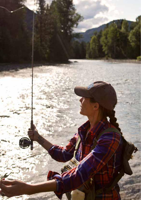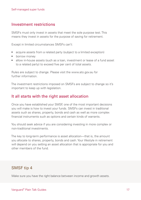### Investment restrictions

SMSFs must only invest in assets that meet the sole purpose test. This means they invest in assets for the purpose of saving for retirement.

Except in limited circumstances SMSFs can't:

- acquire assets from a related party (subject to a limited exception)
- borrow money
- allow in-house assets (such as a loan, investment or lease of a fund asset to a related party) to exceed five per cent of total assets.

Rules are subject to change. Please visit the www.ato.gov.au for further information.

The investment restrictions imposed on SMSFs are subject to change so it's important to keep up with legislation.

### It all starts with the right asset allocation

Once you have established your SMSF, one of the most important decisions you will make is how to invest your funds. SMSFs can invest in traditional assets such as shares, property, bonds and cash as well as more complex financial instruments such as options and certain kinds of warrants.

You should seek advice if you are considering investing in more complex or non-traditional investments.

The key to long-term performance is asset allocation—that is, the amount you allocate to shares, property, bonds and cash. Your lifestyle in retirement will depend on you setting an asset allocation that is appropriate for you and other members of the fund.

### SMSF tip 4

Make sure you have the right balance between income and growth assets.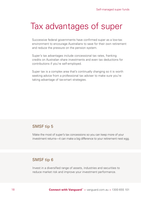## Tax advantages of super

Successive federal governments have confirmed super as a low-tax environment to encourage Australians to save for their own retirement and reduce the pressure on the pension system.

Super's tax advantages include concessional tax rates, franking credits on Australian share investments and even tax deductions for contributions if you're self-employed.

Super tax is a complex area that's continually changing so it is worth seeking advice from a professional tax adviser to make sure you're taking advantage of tax-smart strategies.

## SMSF tip 5

Make the most of super's tax concessions so you can keep more of your investment returns—it can make a big difference to your retirement nest egg.

## SMSF tip 6

Invest in a diversified range of assets, industries and securities to reduce market risk and improve your investment performance.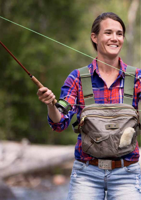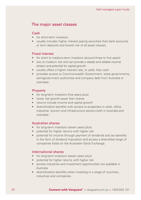### The major asset classes

#### Cash

- for short-term investors
- usually includes higher interest paying securities than bank accounts or term deposits and lowest risk of all asset classes.

#### Fixed interest

- for short to medium-term investors (around three to five years)
- low to medium risk and can provide a steady and reliable income stream and potential for capital growth
- usually offers a higher interest rate, or yield, than cash
- provides access to Commonwealth Government, state governments, semigovernment authorities and company debt from Australia or overseas.

#### **Property**

- for long-term investors (five years plus)
- lower risk growth asset than shares
- returns include income and capital growth
- diversification benefits with access to properties in retail, office, industrial, tourism and infrastructure sectors both in Australia and overseas.

#### Australian shares

- for long-term investors (seven years plus)
- potential for higher returns with higher risk
- potential for income through payment of dividends and tax benefits in the form of dividend imputation and access a diversified range of companies listed on the Australian Stock Exchange.

#### International shares

- for long-term investors (seven years plus)
- potential for higher returns with higher risk
- access industries and investment opportunities not available in Australia
- diversification benefits when investing in a range of countries. industries and companies.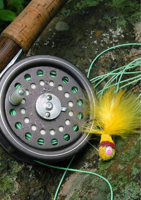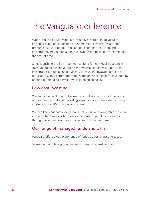## The Vanguard difference

When you invest with Vanguard, you have more than 40 years of investing experience behind you. So no matter which investment products suit your needs, you can feel confident that Vanguard investments are built on a rigorous investment philosophy that stands the test of time.

Since launching the first index mutual fund for individual investors in 1976, Vanguard has strived to be the world's highest-value provider of investment products and services. We have an unwavering focus on our clients with a commitment to champion what's best for investors by offering outstanding service, while keeping costs low.

### Low-cost investing

We know we can't control the markets, but we can control the costs of investing. To that end, providing low-cost investments isn't a pricing strategy for us. It's how we do business.

We can keep our costs low because of our unique ownership structure in the United States, which allows us to return profits to investors through lower costs so investors can earn more over time.

## Our range of managed funds and ETFs

Vanguard offers a complete range of funds across all asset classes.

To see our complete product offerings, visit vanguard.com.au.